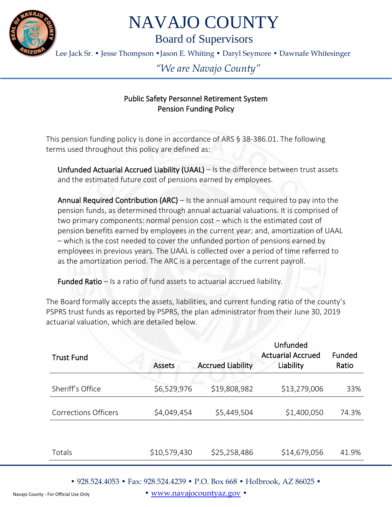

## NAVAJO COUNTY

Board of Supervisors

Lee Jack Sr. • Jesse Thompson •Jason E. Whiting • Daryl Seymore • Dawnafe Whitesinger

## *"We are Navajo County"*

## Public Safety Personnel Retirement System Pension Funding Policy

This pension funding policy is done in accordance of ARS § 38-386.01. The following terms used throughout this policy are defined as:

Unfunded Actuarial Accrued Liability (UAAL) – Is the difference between trust assets and the estimated future cost of pensions earned by employees.

Annual Required Contribution  $(ARC) - Is the annual amount required to pay into the$ pension funds, as determined through annual actuarial valuations. It is comprised of two primary components: normal pension cost – which is the estimated cost of pension benefits earned by employees in the current year; and, amortization of UAAL – which is the cost needed to cover the unfunded portion of pensions earned by employees in previous years. The UAAL is collected over a period of time referred to as the amortization period. The ARC is a percentage of the current payroll.

Funded Ratio – Is a ratio of fund assets to actuarial accrued liability.

The Board formally accepts the assets, liabilities, and current funding ratio of the county's PSPRS trust funds as reported by PSPRS, the plan administrator from their June 30, 2019 actuarial valuation, which are detailed below.

| <b>Trust Fund</b>           | <b>Assets</b> | <b>Accrued Liability</b> | Unfunded<br><b>Actuarial Accrued</b><br>Liability | Funded<br>Ratio |
|-----------------------------|---------------|--------------------------|---------------------------------------------------|-----------------|
| Sheriff's Office            | \$6,529,976   | \$19,808,982             | \$13,279,006                                      | 33%             |
| <b>Corrections Officers</b> | \$4,049,454   | \$5,449,504              | \$1,400,050                                       | 74.3%           |
|                             |               |                          |                                                   |                 |
| Totals                      | \$10,579,430  | \$25,258,486             | \$14,679,056                                      | 41.9%           |

• 928.524.4053 • Fax: 928.524.4239 • P.O. Box 668 • Holbrook, AZ 86025 •

• [www.navajocountyaz.gov](http://www.navajocountyaz.gov/) •